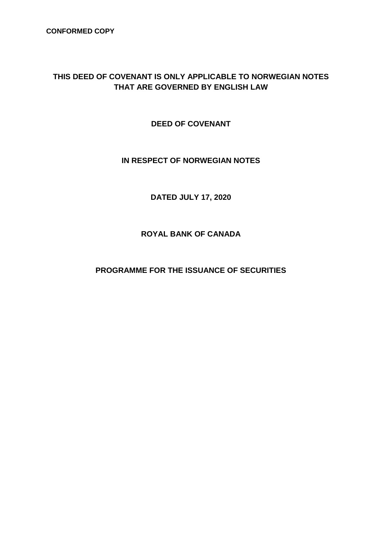**CONFORMED COPY**

## **THIS DEED OF COVENANT IS ONLY APPLICABLE TO NORWEGIAN NOTES THAT ARE GOVERNED BY ENGLISH LAW**

**DEED OF COVENANT**

## **IN RESPECT OF NORWEGIAN NOTES**

**DATED JULY 17, 2020**

**ROYAL BANK OF CANADA**

**PROGRAMME FOR THE ISSUANCE OF SECURITIES**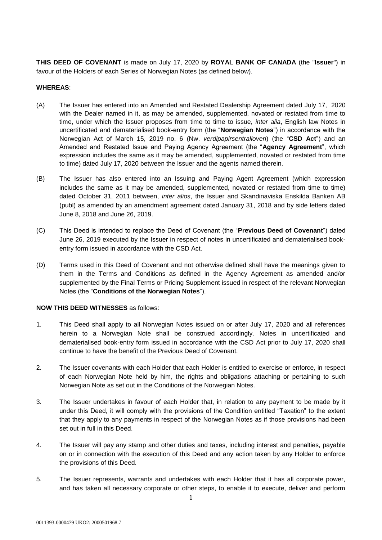**THIS DEED OF COVENANT** is made on July 17, 2020 by **ROYAL BANK OF CANADA** (the "**Issuer**") in favour of the Holders of each Series of Norwegian Notes (as defined below).

## **WHEREAS**:

- (A) The Issuer has entered into an Amended and Restated Dealership Agreement dated July 17, 2020 with the Dealer named in it, as may be amended, supplemented, novated or restated from time to time, under which the Issuer proposes from time to time to issue, *inter alia*, English law Notes in uncertificated and dematerialised book-entry form (the "**Norwegian Notes**") in accordance with the Norwegian Act of March 15, 2019 no. 6 (Nw. *verdipapirsentralloven*) (the "**CSD Act**") and an Amended and Restated Issue and Paying Agency Agreement (the "**Agency Agreement**", which expression includes the same as it may be amended, supplemented, novated or restated from time to time) dated July 17, 2020 between the Issuer and the agents named therein.
- (B) The Issuer has also entered into an Issuing and Paying Agent Agreement (which expression includes the same as it may be amended, supplemented, novated or restated from time to time) dated October 31, 2011 between, *inter alios*, the Issuer and Skandinaviska Enskilda Banken AB (publ) as amended by an amendment agreement dated January 31, 2018 and by side letters dated June 8, 2018 and June 26, 2019.
- (C) This Deed is intended to replace the Deed of Covenant (the "**Previous Deed of Covenant**") dated June 26, 2019 executed by the Issuer in respect of notes in uncertificated and dematerialised bookentry form issued in accordance with the CSD Act.
- (D) Terms used in this Deed of Covenant and not otherwise defined shall have the meanings given to them in the Terms and Conditions as defined in the Agency Agreement as amended and/or supplemented by the Final Terms or Pricing Supplement issued in respect of the relevant Norwegian Notes (the "**Conditions of the Norwegian Notes**").

## **NOW THIS DEED WITNESSES** as follows:

- 1. This Deed shall apply to all Norwegian Notes issued on or after July 17, 2020 and all references herein to a Norwegian Note shall be construed accordingly. Notes in uncertificated and dematerialised book-entry form issued in accordance with the CSD Act prior to July 17, 2020 shall continue to have the benefit of the Previous Deed of Covenant.
- 2. The Issuer covenants with each Holder that each Holder is entitled to exercise or enforce, in respect of each Norwegian Note held by him, the rights and obligations attaching or pertaining to such Norwegian Note as set out in the Conditions of the Norwegian Notes.
- 3. The Issuer undertakes in favour of each Holder that, in relation to any payment to be made by it under this Deed, it will comply with the provisions of the Condition entitled "Taxation" to the extent that they apply to any payments in respect of the Norwegian Notes as if those provisions had been set out in full in this Deed.
- 4. The Issuer will pay any stamp and other duties and taxes, including interest and penalties, payable on or in connection with the execution of this Deed and any action taken by any Holder to enforce the provisions of this Deed.
- 5. The Issuer represents, warrants and undertakes with each Holder that it has all corporate power, and has taken all necessary corporate or other steps, to enable it to execute, deliver and perform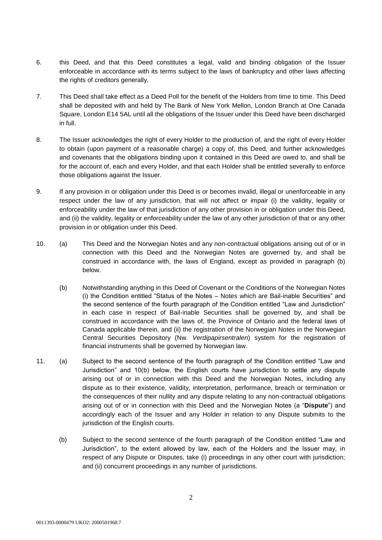- 6. this Deed, and that this Deed constitutes a legal, valid and binding obligation of the Issuer enforceable in accordance with its terms subject to the laws of bankruptcy and other laws affecting the rights of creditors generally.
- 7. This Deed shall take effect as a Deed Poll for the benefit of the Holders from time to time. This Deed shall be deposited with and held by The Bank of New York Mellon, London Branch at One Canada Square, London E14 5AL until all the obligations of the Issuer under this Deed have been discharged in full.
- 8. The Issuer acknowledges the right of every Holder to the production of, and the right of every Holder to obtain (upon payment of a reasonable charge) a copy of, this Deed, and further acknowledges and covenants that the obligations binding upon it contained in this Deed are owed to, and shall be for the account of, each and every Holder, and that each Holder shall be entitled severally to enforce those obligations against the Issuer.
- 9. If any provision in or obligation under this Deed is or becomes invalid, illegal or unenforceable in any respect under the law of any jurisdiction, that will not affect or impair (i) the validity, legality or enforceability under the law of that jurisdiction of any other provision in or obligation under this Deed, and (ii) the validity, legality or enforceability under the law of any other jurisdiction of that or any other provision in or obligation under this Deed.
- 10. (a) This Deed and the Norwegian Notes and any non-contractual obligations arising out of or in connection with this Deed and the Norwegian Notes are governed by, and shall be construed in accordance with, the laws of England, except as provided in paragraph (b) below.
	- (b) Notwithstanding anything in this Deed of Covenant or the Conditions of the Norwegian Notes (i) the Condition entitled "Status of the Notes – Notes which are Bail-inable Securities" and the second sentence of the fourth paragraph of the Condition entitled "Law and Jurisdiction" in each case in respect of Bail-inable Securities shall be governed by, and shall be construed in accordance with the laws of, the Province of Ontario and the federal laws of Canada applicable therein, and (ii) the registration of the Norwegian Notes in the Norwegian Central Securities Depository (Nw. *Verdipapirsentralen*) system for the registration of financial instruments shall be governed by Norwegian law.
- 11. (a) Subject to the second sentence of the fourth paragraph of the Condition entitled "Law and Jurisdiction" and 10(b) below, the English courts have jurisdiction to settle any dispute arising out of or in connection with this Deed and the Norwegian Notes, including any dispute as to their existence, validity, interpretation, performance, breach or termination or the consequences of their nullity and any dispute relating to any non-contractual obligations arising out of or in connection with this Deed and the Norwegian Notes (a "**Dispute**") and accordingly each of the Issuer and any Holder in relation to any Dispute submits to the jurisdiction of the English courts.
	- (b) Subject to the second sentence of the fourth paragraph of the Condition entitled "Law and Jurisdiction", to the extent allowed by law, each of the Holders and the Issuer may, in respect of any Dispute or Disputes, take (i) proceedings in any other court with jurisdiction; and (ii) concurrent proceedings in any number of jurisdictions.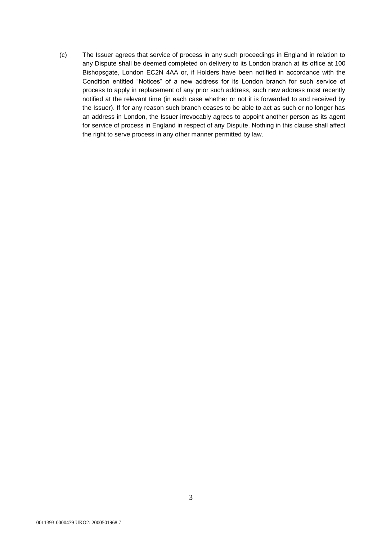(c) The Issuer agrees that service of process in any such proceedings in England in relation to any Dispute shall be deemed completed on delivery to its London branch at its office at 100 Bishopsgate, London EC2N 4AA or, if Holders have been notified in accordance with the Condition entitled "Notices" of a new address for its London branch for such service of process to apply in replacement of any prior such address, such new address most recently notified at the relevant time (in each case whether or not it is forwarded to and received by the Issuer). If for any reason such branch ceases to be able to act as such or no longer has an address in London, the Issuer irrevocably agrees to appoint another person as its agent for service of process in England in respect of any Dispute. Nothing in this clause shall affect the right to serve process in any other manner permitted by law.